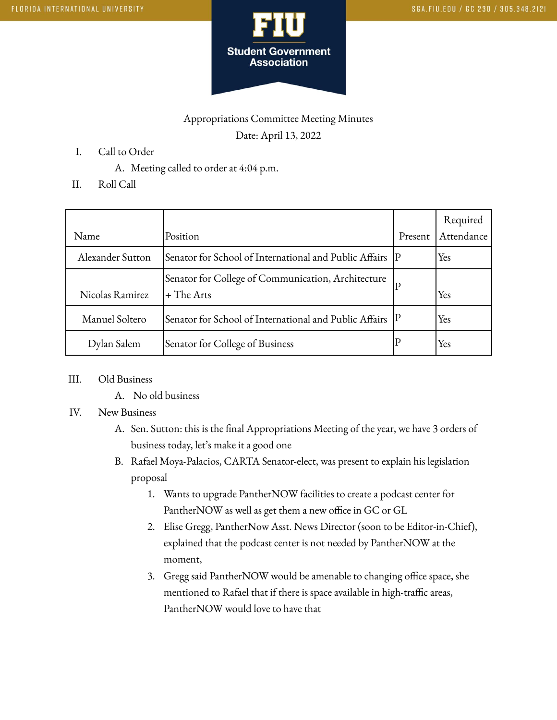

## Appropriations Committee Meeting Minutes Date: April 13, 2022

- I. Call to Order
	- A. Meeting called to order at 4:04 p.m.
- II. Roll Call

|                  |                                                                    |         | Required   |
|------------------|--------------------------------------------------------------------|---------|------------|
| Name             | Position                                                           | Present | Attendance |
| Alexander Sutton | Senator for School of International and Public Affairs IP          |         | Yes        |
| Nicolas Ramirez  | Senator for College of Communication, Architecture<br>$+$ The Arts |         | Yes        |
| Manuel Soltero   | Senator for School of International and Public Affairs P           |         | Yes        |
| Dylan Salem      | Senator for College of Business                                    |         | Yes        |

- III. Old Business
	- A. No old business

## IV. New Business

- A. Sen. Sutton: this is the final Appropriations Meeting of the year, we have 3 orders of business today, let's make it a good one
- B. Rafael Moya-Palacios, CARTA Senator-elect, was present to explain his legislation proposal
	- 1. Wants to upgrade PantherNOW facilities to create a podcast center for PantherNOW as well as get them a new office in GC or GL
	- 2. Elise Gregg, PantherNow Asst. News Director (soon to be Editor-in-Chief), explained that the podcast center is not needed by PantherNOW at the moment,
	- 3. Gregg said PantherNOW would be amenable to changing office space, she mentioned to Rafael that if there is space available in high-traffic areas, PantherNOW would love to have that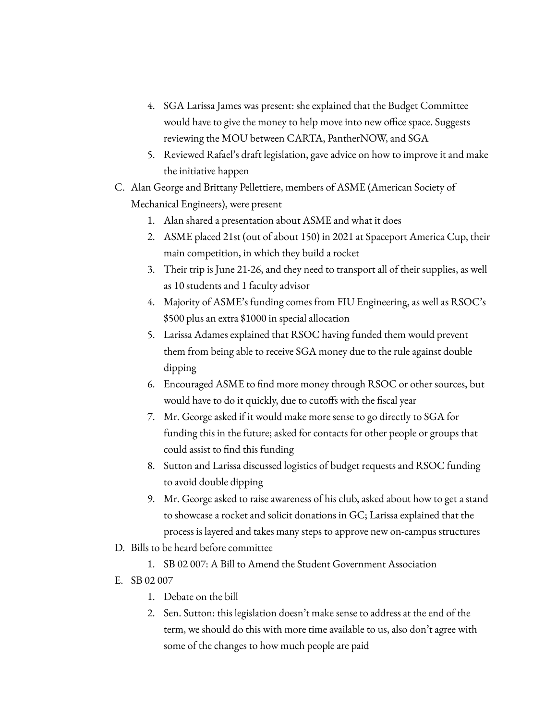- 4. SGA Larissa James was present: she explained that the Budget Committee would have to give the money to help move into new office space. Suggests reviewing the MOU between CARTA, PantherNOW, and SGA
- 5. Reviewed Rafael's draft legislation, gave advice on how to improve it and make the initiative happen
- C. Alan George and Brittany Pellettiere, members of ASME (American Society of Mechanical Engineers), were present
	- 1. Alan shared a presentation about ASME and what it does
	- 2. ASME placed 21st (out of about 150) in 2021 at Spaceport America Cup, their main competition, in which they build a rocket
	- 3. Their trip is June 21-26, and they need to transport all of their supplies, as well as 10 students and 1 faculty advisor
	- 4. Majority of ASME's funding comes from FIU Engineering, as well as RSOC's \$500 plus an extra \$1000 in special allocation
	- 5. Larissa Adames explained that RSOC having funded them would prevent them from being able to receive SGA money due to the rule against double dipping
	- 6. Encouraged ASME to find more money through RSOC or other sources, but would have to do it quickly, due to cutoffs with the fiscal year
	- 7. Mr. George asked if it would make more sense to go directly to SGA for funding this in the future; asked for contacts for other people or groups that could assist to find this funding
	- 8. Sutton and Larissa discussed logistics of budget requests and RSOC funding to avoid double dipping
	- 9. Mr. George asked to raise awareness of his club, asked about how to get a stand to showcase a rocket and solicit donations in GC; Larissa explained that the process is layered and takes many steps to approve new on-campus structures
- D. Bills to be heard before committee
	- 1. SB 02 007: A Bill to Amend the Student Government Association
- E. SB 02 007
	- 1. Debate on the bill
	- 2. Sen. Sutton: this legislation doesn't make sense to address at the end of the term, we should do this with more time available to us, also don't agree with some of the changes to how much people are paid